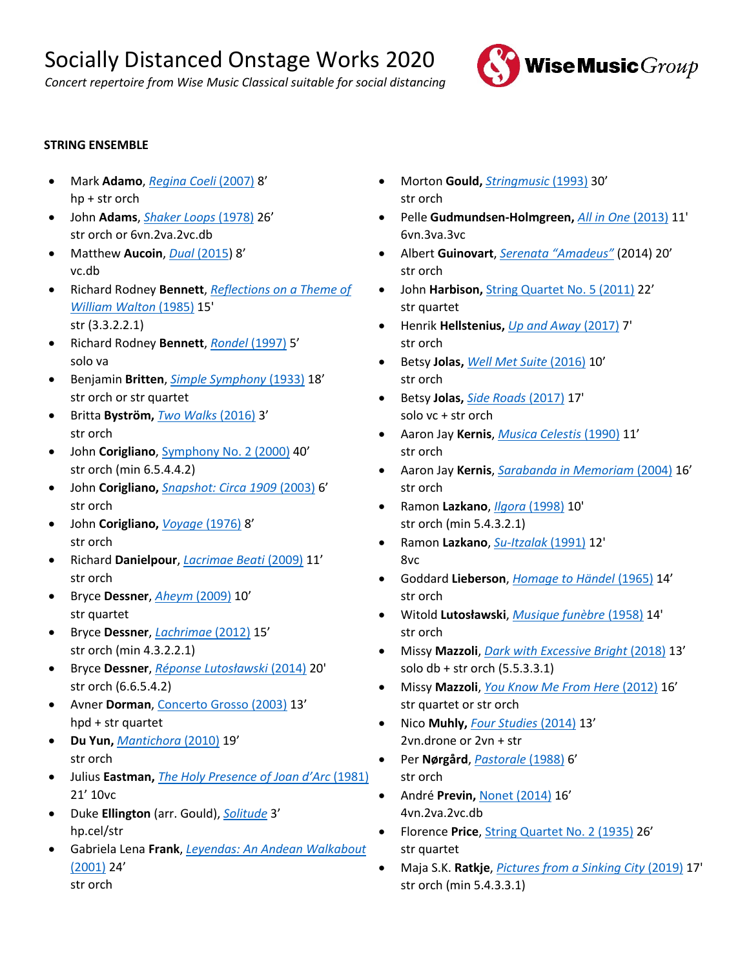*Concert repertoire from Wise Music Classical suitable for social distancing*



# **STRING ENSEMBLE**

- Mark **Adamo**, *[Regina Coeli](https://www.wisemusicclassical.com/work/43402/Regina-Coeli-harp-and-string-orchestra--Mark-Adamo/)* (2007) 8' hp + str orch
- John **Adams**, *[Shaker Loops](https://www.wisemusicclassical.com/work/23709/)* (1978) 26' str orch or 6vn.2va.2vc.db
- Matthew **Aucoin**, *Dual* [\(2015](https://www.wisemusicclassical.com/work/54747/Dual--Matthew-Aucoin/)) 8' vc.db
- Richard Rodney **Bennett**, *[Reflections on a Theme of](https://www.wisemusicclassical.com/work/8203/Reflections-on-a-Theme-of-William-Walton--Richard-Rodney-Bennett/)  [William Walton](https://www.wisemusicclassical.com/work/8203/Reflections-on-a-Theme-of-William-Walton--Richard-Rodney-Bennett/)* (1985) 15' str (3.3.2.2.1)
- Richard Rodney **Bennett**, *[Rondel](https://www.wisemusicclassical.com/work/11819/Rondel--Richard-Rodney-Bennett/)* (1997) 5' solo va
- Benjamin **Britten**, *[Simple Symphony](https://www.wisemusicclassical.com/work/43248/Simple-Symphony--Benjamin-Britten/)* (1933) 18' str orch or str quartet
- Britta **Byström,** *[Two Walks](https://www.wisemusicclassical.com/work/58407/Two-Walks--Britta-Bystr%C3%B6m/)* (2016) 3' str orch
- John **Corigliano**, [Symphony No. 2 \(2000\)](https://www.wisemusicclassical.com/work/26941/Symphony-No-2-for-String-Orchestra--John-Corigliano/) 40' str orch (min 6.5.4.4.2)
- John **Corigliano,** *[Snapshot: Circa 1909](https://www.wisemusicclassical.com/work/46153/)* (2003) 6' str orch
- John **Corigliano,** *[Voyage](https://www.wisemusicclassical.com/work/24505/)* (1976) 8' str orch
- Richard **Danielpour**, *[Lacrimae Beati](https://www.wisemusicclassical.com/work/43062/Lacrimae-Beati--Richard-Danielpour/)* (2009) 11' str orch
- Bryce **Dessner**, *[Aheym](https://www.wisemusicclassical.com/work/47240/Aheym-Homeward--Bryce-Dessner/)* (2009) 10' str quartet
- Bryce **Dessner**, *[Lachrimae](https://www.wisemusicclassical.com/work/47628/Lachrimae--Bryce-Dessner/)* (2012) 15' str orch (min 4.3.2.2.1)
- Bryce **Dessner**, *[Réponse Lutosławski](https://www.wisemusicclassical.com/work/49676/)* (2014) 20' str orch (6.6.5.4.2)
- Avner **Dorman**, [Concerto Grosso \(2003\)](https://www.wisemusicclassical.com/work/27446/Concerto-Grosso--Avner-Dorman/) 13' hpd + str quartet
- **Du Yun,** *[Mantichora](https://www.wisemusicclassical.com/work/60568/Mantichora--Du-Yun/)* (2010) 19' str orch
- Julius **Eastman,** *[The Holy Presence of Joan d'Arc](https://www.wisemusicclassical.com/work/57880/)* (1981) 21' 10vc
- Duke **Ellington** (arr. Gould), *[Solitude](https://www.wisemusicclassical.com/work/27651/)* 3' hp.cel/str
- Gabriela Lena **Frank**, *[Leyendas: An Andean Walkabout](https://www.wisemusicclassical.com/work/25531/)*  [\(2001\)](https://www.wisemusicclassical.com/work/25531/) 24' str orch
- Morton **Gould,** *[Stringmusic](https://www.wisemusicclassical.com/work/28391/)* (1993) 30' str orch
- Pelle **Gudmundsen-Holmgreen,** *[All in One](https://www.wisemusicclassical.com/work/49038/All-in-One--Pelle-Gudmundsen-Holmgreen/)* (2013) 11' 6vn.3va.3vc
- Albert **Guinovart**, *[Serenata "Amadeus"](https://www.wisemusicclassical.com/work/54248/Serenata-Amadeus--Albert-Guinovart/)* (2014) 20' str orch
- John **Harbison,** [String Quartet No. 5 \(2011\)](https://www.wisemusicclassical.com/work/47233/String-Quartet-No-5--John-Harbison/) 22' str quartet
- Henrik **Hellstenius,** *[Up and Away](https://www.wisemusicclassical.com/work/57583/Up-and-Away--Henrik-Hellstenius/)* (2017) 7' str orch
- Betsy **Jolas,** *[Well Met Suite](https://www.wisemusicclassical.com/work/56608/Well-Met-Suite--Betsy-Jolas/)* (2016) 10' str orch
- Betsy **Jolas,** *[Side Roads](https://www.wisemusicclassical.com/work/58433/Side-Roads--Betsy-Jolas/)* (2017) 17' solo vc + str orch
- Aaron Jay **Kernis**, *[Musica Celestis](https://www.wisemusicclassical.com/work/29505/)* (1990) 11' str orch
- Aaron Jay **Kernis**, *[Sarabanda in Memoriam](https://www.wisemusicclassical.com/work/29538/Sarabanda-in-Memoriam--Aaron-Jay-Kernis/)* (2004) 16' str orch
- Ramon **Lazkano**, *Ilgora* [\(1998\)](https://www.wisemusicclassical.com/work/58669/Ilgora--Ramon-Lazkano/) 10' str orch (min 5.4.3.2.1)
- Ramon **Lazkano**, *[Su-Itzalak](https://www.wisemusicclassical.com/work/58723/Su-Itzalak-from-the-Cycle-of-Shadows--Ramon-Lazkano/)* (1991) 12' 8vc
- Goddard **Lieberson**, *[Homage to Händel](https://www.wisemusicclassical.com/work/30183/Homage-to-Handel--Suite-for-String-Orchestra--Goddard-Lieberson/)* (1965) 14' str orch
- Witold **Lutosławski**, *[Musique funèbre](https://www.wisemusicclassical.com/work/7734/Musique-funebre-Muzyka-zalobna--Witold-Lutos%C5%82awski/)* (1958) 14' str orch
- Missy **Mazzoli**, *[Dark with Excessive Bright](https://www.wisemusicclassical.com/work/57730/Dark-with-Excessive-Bright-Concerto-for-Contrabass-and-String-Orchestra--Missy-Mazzoli/)* (2018) 13' solo db + str orch (5.5.3.3.1)
- Missy **Mazzoli**, *[You Know Me From Here](https://www.wisemusicclassical.com/work/48180/You-Know-Me-From-Here--Missy-Mazzoli/)* (2012) 16' str quartet or str orch
- Nico **Muhly,** *[Four Studies](https://www.wisemusicclassical.com/work/57156/Four-Studies--Nico-Muhly/)* (2014) 13' 2vn.drone or 2vn + str
- Per **Nørgård**, *[Pastorale](https://www.wisemusicclassical.com/work/21064/Pastorale---fra-Babettes-Gstebud--Per-N%C3%B8rg%C3%A5rd/)* (1988) 6' str orch
- André **Previn,** [Nonet \(2014\)](https://www.wisemusicclassical.com/work/53780/Nonet--Andr%C3%A9-Previn/) 16' 4vn.2va.2vc.db
- Florence **Price**[, String Quartet No. 2 \(1935\)](https://www.wisemusicclassical.com/work/60412/String-Quartet-No-2-in-A-Minor--Florence-Price/) 26' str quartet
- Maja S.K. **Ratkje**, *[Pictures from a Sinking City](https://www.wisemusicclassical.com/work/60627/Pictures-From-a-Sinking-City--Maja-S-K-Ratkje/)* (2019) 17' str orch (min 5.4.3.3.1)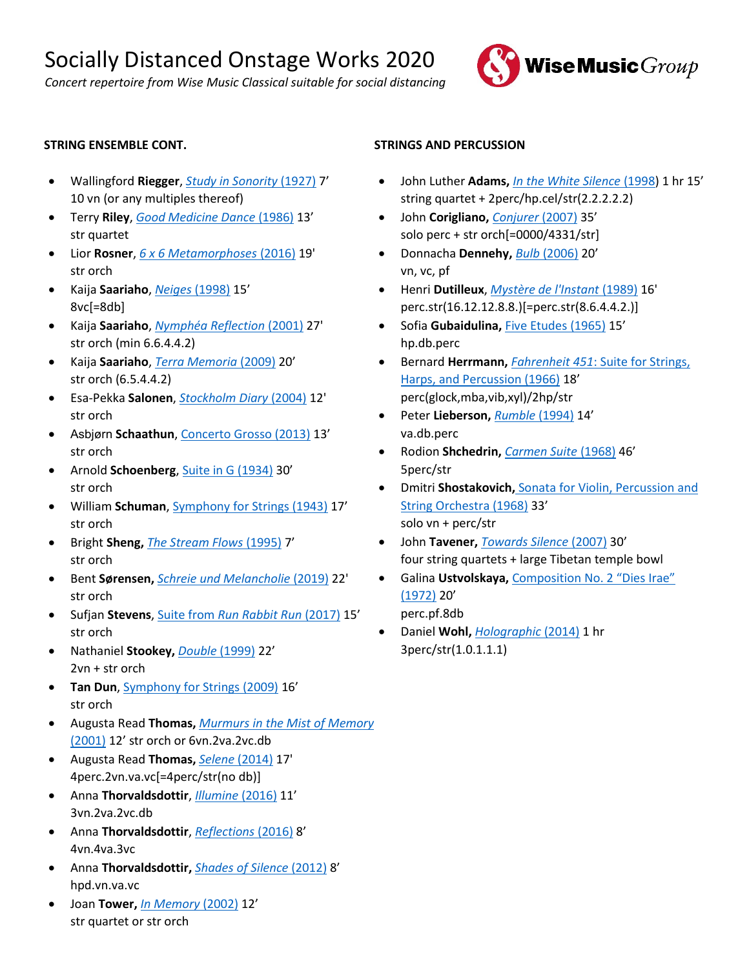*Concert repertoire from Wise Music Classical suitable for social distancing*



## **STRING ENSEMBLE CONT.**

- Wallingford **Riegger**, *[Study in Sonority](https://www.wisemusicclassical.com/work/31958/)* (1927) 7' 10 vn (or any multiples thereof)
- Terry **Riley**, *[Good Medicine Dance](https://www.wisemusicclassical.com/work/46347/Good-Medicine-String-Quartet-No-10--Terry-Riley/)* (1986) 13' str quartet
- Lior **Rosner**, *[6 x 6 Metamorphoses](https://www.wisemusicclassical.com/work/56182/6-x-6-Metamorphoses-for-string-orchestra--Lior-Rosner/)* (2016) 19' str orch
- Kaija **Saariaho**, *[Neiges](https://www.wisemusicclassical.com/work/7354/Neiges--Kaija-Saariaho/)* (1998) 15' 8vc[=8db]
- Kaija **Saariaho**, *[Nymphéa Reflection](https://www.wisemusicclassical.com/work/13283/Nymphea-Reflection--Kaija-Saariaho/)* (2001) 27' str orch (min 6.6.4.4.2)
- Kaija **Saariaho**, *[Terra Memoria](https://www.wisemusicclassical.com/work/43342/Terra-Memoria-String-Orchestra-Version--Kaija-Saariaho/)* (2009) 20' str orch (6.5.4.4.2)
- Esa-Pekka **Salonen**, *[Stockholm Diary](https://www.wisemusicclassical.com/work/14646/Stockholm-Diary--Esa-Pekka-Salonen/)* (2004) 12' str orch
- Asbjørn **Schaathun**, [Concerto Grosso \(2013\)](https://www.wisemusicclassical.com/work/59294/Concerto-Grosso--Asbj%C3%B8rn-Schaathun/) 13' str orch
- Arnold **Schoenberg**, [Suite in G \(1934\)](https://www.wisemusicclassical.com/work/32492/) 30' str orch
- William **Schuman**, [Symphony for Strings \(1943\)](https://www.wisemusicclassical.com/work/32749/) 17' str orch
- Bright **Sheng,** *[The Stream Flows](https://www.wisemusicclassical.com/work/47941/The-Stream-Flows-from-China-Dreams-for-string-orchestra--Bright-Sheng/)* (1995) 7' str orch
- Bent **Sørensen,** *[Schreie und Melancholie](https://www.wisemusicclassical.com/work/59984/Schreie-und-Melancholie--Bent-S%C3%B8rensen/)* (2019) 22' str orch
- Sufjan **Stevens**, Suite from *[Run Rabbit Run](https://www.wisemusicclassical.com/work/60754/Suite-from-Run-Rabbit-Run--Sufjan-Stevens/)* (2017) 15' str orch
- Nathaniel **Stookey,** *[Double](https://www.wisemusicclassical.com/work/35395/Double-Concerto-for-Two-Violins-and-String-Orchestra--Nathaniel-Stookey/)* (1999) 22' 2vn + str orch
- **Tan Dun**, [Symphony for Strings \(2009\)](https://www.wisemusicclassical.com/work/37503/Symphony-for-Strings--Tan-Dun/) 16' str orch
- Augusta Read **Thomas,** *[Murmurs in the Mist of Memory](https://www.wisemusicclassical.com/work/33855/)* [\(2001\)](https://www.wisemusicclassical.com/work/33855/) 12' str orch or 6vn.2va.2vc.db
- Augusta Read **Thomas,** *Selene* [\(2014\)](https://www.wisemusicclassical.com/work/53856/Selene-Moon-Chariot-Rituals-for-strings-and-percussion--Augusta-Read-Thomas/) 17' 4perc.2vn.va.vc[=4perc/str(no db)]
- Anna **Thorvaldsdottir**, *[Illumine](https://www.wisemusicclassical.com/work/57451/Illumine--Anna-Thorvaldsdottir/)* (2016) 11' 3vn.2va.2vc.db
- Anna **Thorvaldsdottir**, *[Reflections](https://www.wisemusicclassical.com/work/59985/Reflections-ensemble-version--Anna-Thorvaldsdottir/)* (2016) 8' 4vn.4va.3vc
- Anna **Thorvaldsdottir,** *[Shades of Silence](https://www.wisemusicclassical.com/work/57460/Shades-of-Silence--Anna-Thorvaldsdottir/)* (2012) 8' hpd.vn.va.vc
- Joan **Tower,** *[In Memory](https://www.wisemusicclassical.com/work/33997/In-Memory-string-orchestra--Joan-Tower/)* (2002) 12' str quartet or str orch

### **STRINGS AND PERCUSSION**

- John Luther **Adams,** *[In the White Silence](https://www.wisemusicclassical.com/work/57015/In-the-White-Silence--John-Luther-Adams/)* (1998) 1 hr 15' string quartet + 2perc/hp.cel/str(2.2.2.2.2)
- John **Corigliano,** *[Conjurer](https://www.wisemusicclassical.com/work/36038/Conjurer-Concerto-for-Percussionist-and-String-Orchestra-with-optional-Brass--John-Corigliano/)* (2007) 35' solo perc + str orch[=0000/4331/str]
- Donnacha **Dennehy,** *Bulb* [\(2006\)](https://www.wisemusicclassical.com/work/56546/Bulb--Donnacha-Dennehy/) 20' vn, vc, pf
- Henri **Dutilleux**, *[Mystère de l'Instant](https://www.wisemusicclassical.com/work/50455/Mystere-de-lInstant--Henri-Dutilleux/)* (1989) 16' perc.str(16.12.12.8.8.)[=perc.str(8.6.4.4.2.)]
- Sofia **Gubaidulina,** [Five Etudes \(1965\)](https://www.wisemusicclassical.com/work/24036/Five-Etudes--Sofia-Gubaidulina/) 15' hp.db.perc
- Bernard **Herrmann,** *Fahrenheit 451*[: Suite for Strings,](https://www.wisemusicclassical.com/work/59538/)  [Harps, and Percussion \(1966\)](https://www.wisemusicclassical.com/work/59538/) 18' perc(glock,mba,vib,xyl)/2hp/str
- Peter **Lieberson,** *[Rumble](https://www.wisemusicclassical.com/work/30238/Rumble--Peter-Lieberson/)* (1994) 14' va.db.perc
- Rodion **Shchedrin,** *[Carmen Suite](https://www.wisemusicclassical.com/work/32864/)* (1968) 46' 5perc/str
- Dmitri **Shostakovich,** Sonata [for Violin, Percussion and](https://www.wisemusicclassical.com/work/59445/Sonata-for-Violin-Percussion-and-String-Orchestra--Dmitri-Shostakovich/)  [String Orchestra](https://www.wisemusicclassical.com/work/59445/Sonata-for-Violin-Percussion-and-String-Orchestra--Dmitri-Shostakovich/) (1968) 33' solo vn + perc/str
- John **Tavener,** *[Towards Silence](https://www.wisemusicclassical.com/work/36295/Towards-Silence--John-Tavener/)* (2007) 30' four string quartets + large Tibetan temple bowl
- Galina **Ustvolskaya,** [Composition No. 2 "Dies Irae"](https://www.wisemusicclassical.com/work/34100/Composition-No-2-Dies-Irae--Galina-Ustvolskaya/) [\(1972\)](https://www.wisemusicclassical.com/work/34100/Composition-No-2-Dies-Irae--Galina-Ustvolskaya/) 20' perc.pf.8db
- Daniel **Wohl,** *[Holographic](https://www.wisemusicclassical.com/work/49516/Holographic--Daniel-Wohl/)* (2014) 1 hr 3perc/str(1.0.1.1.1)